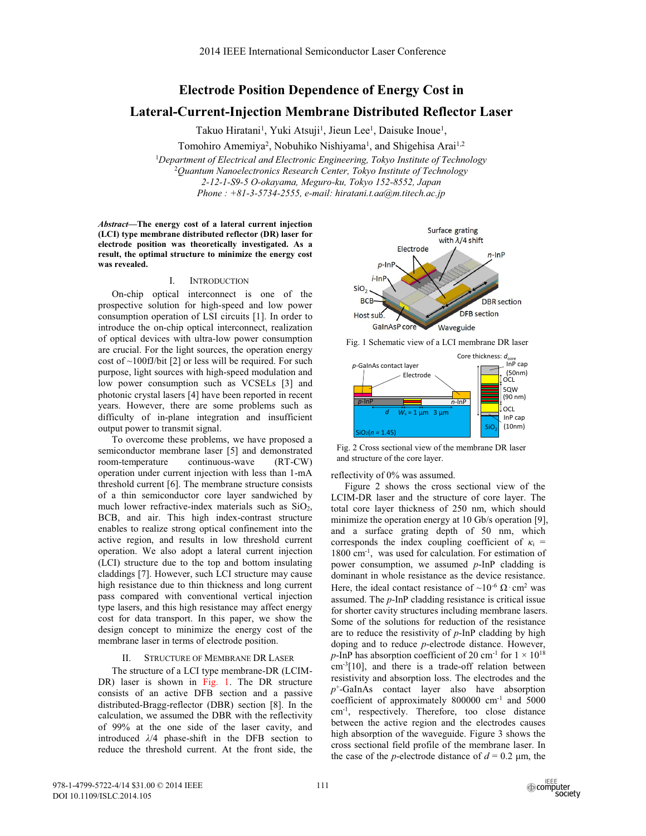## **Electrode Position Dependence of Energy Cost in**

# **Lateral-Current-Injection Membrane Distributed Reflector Laser**

Takuo Hiratani<sup>1</sup>, Yuki Atsuji<sup>1</sup>, Jieun Lee<sup>1</sup>, Daisuke Inoue<sup>1</sup>,

Tomohiro Amemiya<sup>2</sup>, Nobuhiko Nishiyama<sup>1</sup>, and Shigehisa Arai<sup>1,2</sup>

1 *Department of Electrical and Electronic Engineering, Tokyo Institute of Technology* 2 *Quantum Nanoelectronics Research Center, Tokyo Institute of Technology 2-12-1-S9-5 O-okayama, Meguro-ku, Tokyo 152-8552, Japan Phone : +81-3-5734-2555, e-mail: hiratani.t.aa@m.titech.ac.jp*

*Abstract***—The energy cost of a lateral current injection (LCI) type membrane distributed reflector (DR) laser for electrode position was theoretically investigated. As a result, the optimal structure to minimize the energy cost was revealed.** 

### I. INTRODUCTION

On-chip optical interconnect is one of the prospective solution for high-speed and low power consumption operation of LSI circuits [1]. In order to introduce the on-chip optical interconnect, realization of optical devices with ultra-low power consumption are crucial. For the light sources, the operation energy cost of  $\sim$ 100fJ/bit [2] or less will be required. For such purpose, light sources with high-speed modulation and low power consumption such as VCSELs [3] and photonic crystal lasers [4] have been reported in recent years. However, there are some problems such as difficulty of in-plane integration and insufficient output power to transmit signal.

To overcome these problems, we have proposed a semiconductor membrane laser [5] and demonstrated room-temperature continuous-wave (RT-CW) operation under current injection with less than 1-mA threshold current [6]. The membrane structure consists of a thin semiconductor core layer sandwiched by much lower refractive-index materials such as  $SiO<sub>2</sub>$ , BCB, and air. This high index-contrast structure enables to realize strong optical confinement into the active region, and results in low threshold current operation. We also adopt a lateral current injection (LCI) structure due to the top and bottom insulating claddings [7]. However, such LCI structure may cause high resistance due to thin thickness and long current pass compared with conventional vertical injection type lasers, and this high resistance may affect energy cost for data transport. In this paper, we show the design concept to minimize the energy cost of the membrane laser in terms of electrode position.

#### STRUCTURE OF MEMBRANE DR LASER

The structure of a LCI type membrane-DR (LCIM-DR) laser is shown in Fig. 1. The DR structure consists of an active DFB section and a passive distributed-Bragg-reflector (DBR) section [8]. In the calculation, we assumed the DBR with the reflectivity of 99% at the one side of the laser cavity, and introduced *λ*/4 phase-shift in the DFB section to reduce the threshold current. At the front side, the



Fig. 1 Schematic view of a LCI membrane DR laser



Fig. 2 Cross sectional view of the membrane DR laser and structure of the core layer.

reflectivity of 0% was assumed.

Figure 2 shows the cross sectional view of the LCIM-DR laser and the structure of core layer. The total core layer thickness of 250 nm, which should minimize the operation energy at 10 Gb/s operation [9], and a surface grating depth of 50 nm, which corresponds the index coupling coefficient of  $\kappa_i$  = 1800 cm<sup>-1</sup>, was used for calculation. For estimation of power consumption, we assumed *p*-InP cladding is dominant in whole resistance as the device resistance. Here, the ideal contact resistance of  $\sim 10^{-6} \Omega \cdot \text{cm}^2$  was assumed. The *p*-InP cladding resistance is critical issue for shorter cavity structures including membrane lasers. Some of the solutions for reduction of the resistance are to reduce the resistivity of *p*-InP cladding by high doping and to reduce *p*-electrode distance. However, *p*-InP has absorption coefficient of 20 cm<sup>-1</sup> for  $1 \times 10^{18}$ cm-3[10], and there is a trade-off relation between resistivity and absorption loss. The electrodes and the *p*+-GaInAs contact layer also have absorption coefficient of approximately 800000 cm-1 and 5000 cm-1, respectively. Therefore, too close distance between the active region and the electrodes causes high absorption of the waveguide. Figure 3 shows the cross sectional field profile of the membrane laser. In the case of the *p*-electrode distance of  $d = 0.2$  µm, the

978-1-4799-5722-4/14 \$31.00 © 2014 IEEE DOI 10.1109/ISLC.2014.105